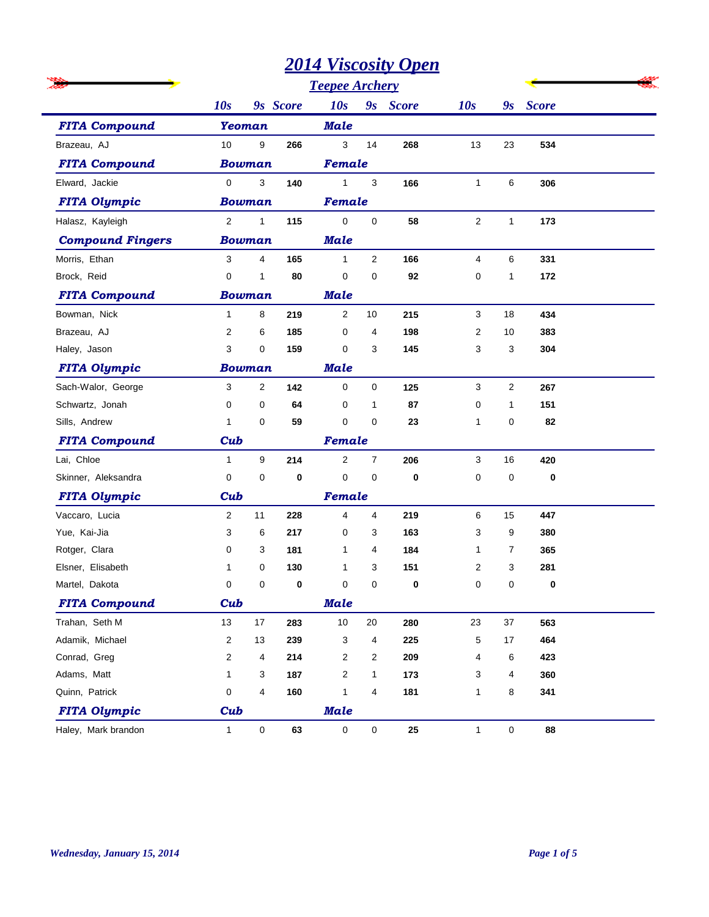|                         |                  |                |          | <b>Teepee Archery</b> |                     |              |                |              |                      |  |
|-------------------------|------------------|----------------|----------|-----------------------|---------------------|--------------|----------------|--------------|----------------------|--|
|                         | 10s              |                | 9s Score | 10s                   | 9s                  | <b>Score</b> | 10s            |              | 9 <sub>s</sub> Score |  |
| <b>FITA Compound</b>    | <b>Yeoman</b>    |                |          | <b>Male</b>           |                     |              |                |              |                      |  |
| Brazeau, AJ             | 10               | 9              | 266      | 3                     | 14                  | 268          | 13             | 23           | 534                  |  |
| <b>FITA Compound</b>    | <b>Bowman</b>    |                |          | Female                |                     |              |                |              |                      |  |
| Elward, Jackie          | 0                | 3              | 140      | $\mathbf{1}$          | 3                   | 166          | $\mathbf{1}$   | 6            | 306                  |  |
| <b>FITA Olympic</b>     | <b>Bowman</b>    |                |          | Female                |                     |              |                |              |                      |  |
| Halasz, Kayleigh        | 2                | 1              | 115      | $\mathbf 0$           | $\mathsf{O}\xspace$ | 58           | $\overline{2}$ | $\mathbf{1}$ | 173                  |  |
| <b>Compound Fingers</b> | <b>Bowman</b>    |                |          | <b>Male</b>           |                     |              |                |              |                      |  |
| Morris, Ethan           | 3                | 4              | 165      | $\mathbf{1}$          | $\mathbf{2}$        | 166          | 4              | 6            | 331                  |  |
| Brock, Reid             | $\mathbf 0$      | 1              | 80       | $\mathbf 0$           | 0                   | 92           | 0              | 1            | 172                  |  |
| <b>FITA Compound</b>    | <b>Bowman</b>    |                |          | Male                  |                     |              |                |              |                      |  |
| Bowman, Nick            | $\mathbf{1}$     | 8              | 219      | $\overline{2}$        | 10                  | 215          | 3              | 18           | 434                  |  |
| Brazeau. AJ             | 2                | 6              | 185      | 0                     | 4                   | 198          | 2              | 10           | 383                  |  |
| Haley, Jason            | 3                | 0              | 159      | 0                     | 3                   | 145          | 3              | 3            | 304                  |  |
| <b>FITA Olympic</b>     | <b>Bowman</b>    |                |          | <b>Male</b>           |                     |              |                |              |                      |  |
| Sach-Walor, George      | 3                | $\overline{2}$ | 142      | 0                     | 0                   | 125          | 3              | 2            | 267                  |  |
| Schwartz, Jonah         | 0                | 0              | 64       | 0                     | $\mathbf{1}$        | 87           | 0              | 1            | 151                  |  |
| Sills, Andrew           | $\mathbf{1}$     | 0              | 59       | $\mathbf 0$           | 0                   | 23           | 1              | 0            | 82                   |  |
| <b>FITA Compound</b>    | Cub              |                |          | Female                |                     |              |                |              |                      |  |
| Lai, Chloe              | $\mathbf{1}$     | 9              | 214      | $\overline{2}$        | $\overline{7}$      | 206          | 3              | 16           | 420                  |  |
| Skinner, Aleksandra     | 0                | 0              | 0        | $\mathbf 0$           | 0                   | 0            | 0              | 0            | 0                    |  |
| <b>FITA Olympic</b>     | Cub              |                |          | Female                |                     |              |                |              |                      |  |
| Vaccaro, Lucia          | 2                | 11             | 228      | 4                     | 4                   | 219          | 6              | 15           | 447                  |  |
| Yue, Kai-Jia            | 3                | 6              | 217      | 0                     | 3                   | 163          | 3              | 9            | 380                  |  |
| Rotger, Clara           | 0                | 3              | 181      | 1                     | 4                   | 184          | 1              | 7            | 365                  |  |
| Elsner, Elisabeth       | 1                | 0              | 130      | 1                     | 3                   | 151          | 2              | 3            | 281                  |  |
| Martel, Dakota          | $\mathbf 0$      | 0              | 0        | $\mathbf 0$           | 0                   | 0            | 0              | 0            | 0                    |  |
| <b>FITA Compound</b>    | Cub              |                |          | <b>Male</b>           |                     |              |                |              |                      |  |
| Trahan, Seth M          | 13               | 17             | 283      | 10                    | 20                  | 280          | 23             | 37           | 563                  |  |
| Adamik, Michael         | $\boldsymbol{2}$ | 13             | 239      | 3                     | 4                   | 225          | 5              | $17\,$       | 464                  |  |
| Conrad, Greg            | $\overline{c}$   | 4              | 214      | 2                     | 2                   | 209          | 4              | 6            | 423                  |  |
| Adams, Matt             | 1                | 3              | 187      | $\boldsymbol{2}$      | $\mathbf{1}$        | 173          | 3              | 4            | 360                  |  |
| Quinn, Patrick          | 0                | 4              | 160      | $\mathbf{1}$          | 4                   | 181          | $\mathbf{1}$   | 8            | 341                  |  |
| <b>FITA Olympic</b>     | Cub              |                |          | <b>Male</b>           |                     |              |                |              |                      |  |
| Haley, Mark brandon     | $\mathbf{1}$     | 0              | 63       | $\mathbf 0$           | $\mathsf{O}\xspace$ | $25\,$       | 1              | $\mathsf 0$  | 88                   |  |

j.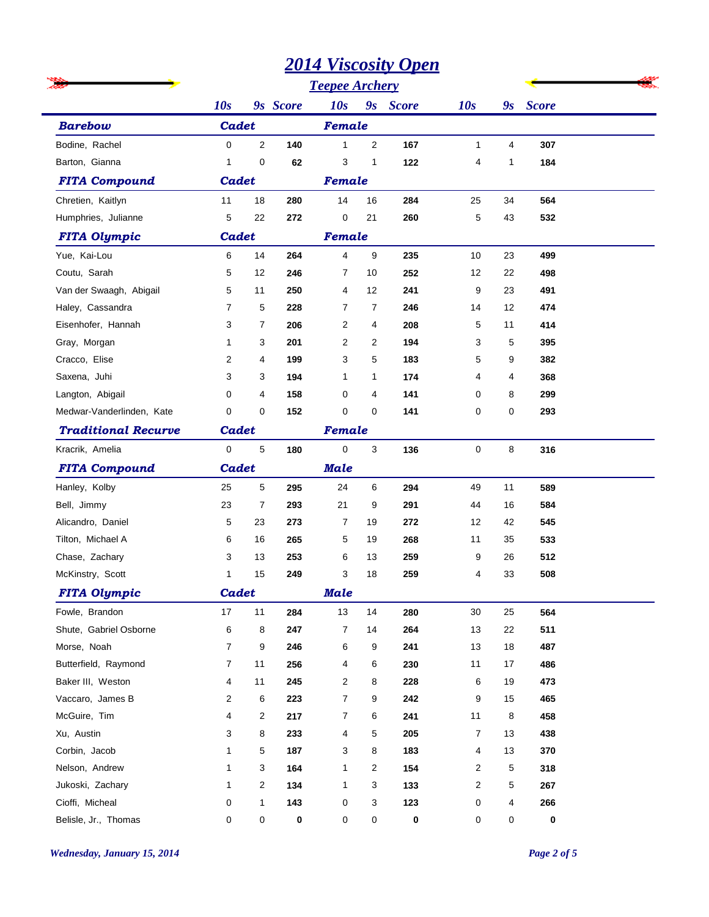|                            |                |                |          |                       |                | <u> 2014 Viscosity Open</u> |                |    |                      |  |
|----------------------------|----------------|----------------|----------|-----------------------|----------------|-----------------------------|----------------|----|----------------------|--|
|                            |                |                |          | <b>Teepee Archery</b> |                |                             |                |    |                      |  |
|                            | 10s            |                | 9s Score | 10s                   |                | 9s Score                    | 10s            |    | 9 <sub>s</sub> Score |  |
| <b>Barebow</b>             | <b>Cadet</b>   |                |          | Female                |                |                             |                |    |                      |  |
| Bodine, Rachel             | 0              | $\mathbf{2}$   | 140      | 1                     | $\overline{2}$ | 167                         | 1              | 4  | 307                  |  |
| Barton, Gianna             | 1              | 0              | 62       | 3                     | 1              | 122                         | 4              | 1  | 184                  |  |
| <b>FITA Compound</b>       | Cadet          |                | Female   |                       |                |                             |                |    |                      |  |
| Chretien, Kaitlyn          | 11             | 18             | 280      | 14                    | 16             | 284                         | 25             | 34 | 564                  |  |
| Humphries, Julianne        | 5              | 22             | 272      | 0                     | 21             | 260                         | 5              | 43 | 532                  |  |
| <b>FITA Olympic</b>        | Cadet          |                |          | Female                |                |                             |                |    |                      |  |
| Yue, Kai-Lou               | 6              | 14             | 264      | 4                     | 9              | 235                         | 10             | 23 | 499                  |  |
| Coutu, Sarah               | 5              | 12             | 246      | 7                     | 10             | 252                         | 12             | 22 | 498                  |  |
| Van der Swaagh, Abigail    | 5              | 11             | 250      | 4                     | 12             | 241                         | 9              | 23 | 491                  |  |
| Haley, Cassandra           | $\overline{7}$ | 5              | 228      | 7                     | 7              | 246                         | 14             | 12 | 474                  |  |
| Eisenhofer, Hannah         | 3              | 7              | 206      | 2                     | 4              | 208                         | 5              | 11 | 414                  |  |
| Gray, Morgan               | $\mathbf{1}$   | 3              | 201      | 2                     | 2              | 194                         | 3              | 5  | 395                  |  |
| Cracco, Elise              | 2              | 4              | 199      | 3                     | 5              | 183                         | 5              | 9  | 382                  |  |
| Saxena, Juhi               | 3              | 3              | 194      | 1                     | $\mathbf{1}$   | 174                         | 4              | 4  | 368                  |  |
| Langton, Abigail           | $\Omega$       | 4              | 158      | 0                     | 4              | 141                         | 0              | 8  | 299                  |  |
| Medwar-Vanderlinden, Kate  | $\mathbf 0$    | 0              | 152      | 0                     | 0              | 141                         | 0              | 0  | 293                  |  |
| <b>Traditional Recurve</b> | Cadet          |                |          | Female                |                |                             |                |    |                      |  |
| Kracrik, Amelia            | $\mathbf 0$    | 5              | 180      | 0                     | 3              | 136                         | 0              | 8  | 316                  |  |
| <b>FITA Compound</b>       | Cadet          |                |          | <b>Male</b>           |                |                             |                |    |                      |  |
| Hanley, Kolby              | 25             | 5              | 295      | 24                    | 6              | 294                         | 49             | 11 | 589                  |  |
| Bell, Jimmy                | 23             | 7              | 293      | 21                    | 9              | 291                         | 44             | 16 | 584                  |  |
| Alicandro, Daniel          | 5              | 23             | 273      | 7                     | 19             | 272                         | 12             | 42 | 545                  |  |
| Tilton, Michael A          | 6              | 16             | 265      | 5                     | 19             | 268                         | 11             | 35 | 533                  |  |
| Chase, Zachary             | 3              | 13             | 253      | 6                     | 13             | 259                         | 9              | 26 | 512                  |  |
| McKinstry, Scott           | 1              | 15             | 249      | 3                     | 18             | 259                         | 4              | 33 | 508                  |  |
| <b>FITA Olympic</b>        | Cadet          |                |          | <b>Male</b>           |                |                             |                |    |                      |  |
| Fowle, Brandon             | 17             | 11             | 284      | 13                    | 14             | 280                         | 30             | 25 | 564                  |  |
| Shute, Gabriel Osborne     | 6              | 8              | 247      | 7                     | 14             | 264                         | 13             | 22 | 511                  |  |
| Morse, Noah                | $\overline{7}$ | 9              | 246      | 6                     | 9              | 241                         | 13             | 18 | 487                  |  |
| Butterfield, Raymond       | 7              | 11             | 256      | 4                     | 6              | 230                         | 11             | 17 | 486                  |  |
| Baker III, Weston          | 4              | 11             | 245      | $\overline{2}$        | 8              | 228                         | 6              | 19 | 473                  |  |
| Vaccaro, James B           | 2              | 6              | 223      | $\overline{7}$        | 9              | 242                         | 9              | 15 | 465                  |  |
| McGuire, Tim               | 4              | $\overline{c}$ | 217      | $\overline{7}$        | 6              | 241                         | 11             | 8  | 458                  |  |
| Xu, Austin                 | 3              | 8              | 233      | 4                     | 5              | 205                         | $\overline{7}$ | 13 | 438                  |  |
| Corbin, Jacob              | 1              | 5              | 187      | 3                     | 8              | 183                         | 4              | 13 | 370                  |  |
| Nelson, Andrew             | 1              | 3              | 164      | 1                     | $\overline{2}$ | 154                         | 2              | 5  | 318                  |  |
| Jukoski, Zachary           | 1              | $\overline{c}$ | 134      | 1                     | 3              | 133                         | 2              | 5  | 267                  |  |
| Cioffi, Micheal            | 0              | $\mathbf{1}$   | 143      | 0                     | 3              | 123                         | 0              | 4  | 266                  |  |
| Belisle, Jr., Thomas       | 0              | 0              | 0        | 0                     | 0              | $\pmb{0}$                   | 0              | 0  | 0                    |  |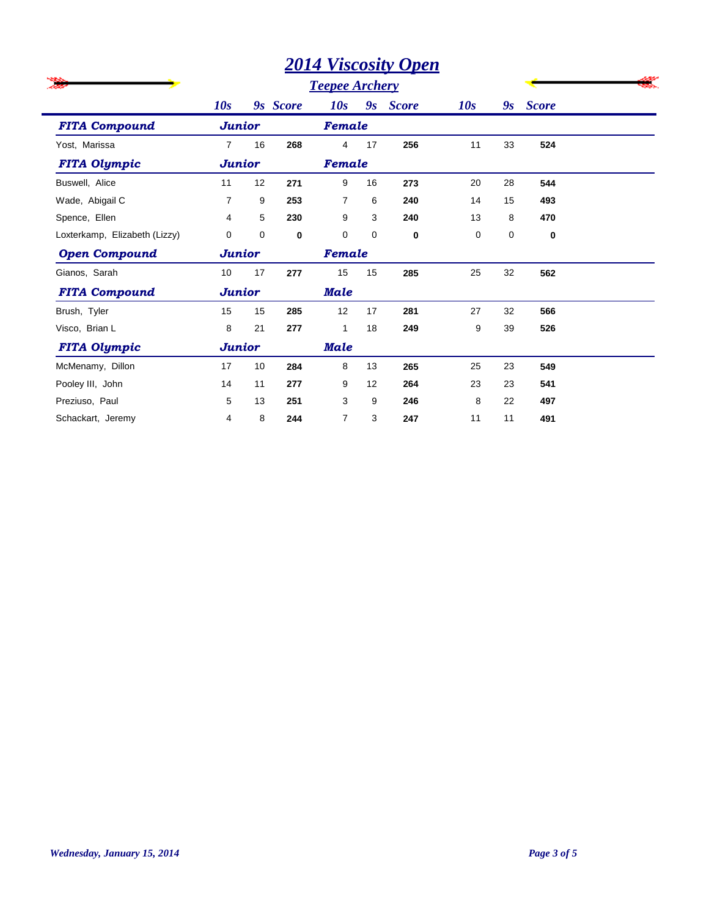|                               |                |    | <b>Teepee Archery</b> |                |    |              |             |    |              |  |
|-------------------------------|----------------|----|-----------------------|----------------|----|--------------|-------------|----|--------------|--|
|                               | 10s            |    | 9s Score              | 10s            | 9s | <b>Score</b> | 10s         | 9s | <b>Score</b> |  |
| <b>FITA Compound</b>          | <b>Junior</b>  |    |                       | Female         |    |              |             |    |              |  |
| Yost, Marissa                 | $\overline{7}$ | 16 | 268                   | 4              | 17 | 256          | 11          | 33 | 524          |  |
| <b>FITA Olympic</b>           | <b>Junior</b>  |    | Female                |                |    |              |             |    |              |  |
| Buswell, Alice                | 11             | 12 | 271                   | 9              | 16 | 273          | 20          | 28 | 544          |  |
| Wade, Abigail C               | $\overline{7}$ | 9  | 253                   | $\overline{7}$ | 6  | 240          | 14          | 15 | 493          |  |
| Spence, Ellen                 | 4              | 5  | 230                   | 9              | 3  | 240          | 13          | 8  | 470          |  |
| Loxterkamp, Elizabeth (Lizzy) | $\mathbf 0$    | 0  | 0                     | $\mathbf 0$    | 0  | 0            | $\mathbf 0$ | 0  | $\bf{0}$     |  |
| <b>Open Compound</b>          | <b>Junior</b>  |    |                       | Female         |    |              |             |    |              |  |
| Gianos, Sarah                 | 10             | 17 | 277                   | 15             | 15 | 285          | 25          | 32 | 562          |  |
| <b>FITA Compound</b>          | <b>Junior</b>  |    |                       | <b>Male</b>    |    |              |             |    |              |  |
| Brush, Tyler                  | 15             | 15 | 285                   | 12             | 17 | 281          | 27          | 32 | 566          |  |
| Visco, Brian L                | 8              | 21 | 277                   | 1              | 18 | 249          | 9           | 39 | 526          |  |
| <b>FITA Olympic</b>           | <b>Junior</b>  |    |                       | <b>Male</b>    |    |              |             |    |              |  |
| McMenamy, Dillon              | 17             | 10 | 284                   | 8              | 13 | 265          | 25          | 23 | 549          |  |
| Pooley III, John              | 14             | 11 | 277                   | 9              | 12 | 264          | 23          | 23 | 541          |  |
| Preziuso, Paul                | 5              | 13 | 251                   | 3              | 9  | 246          | 8           | 22 | 497          |  |
| Schackart, Jeremy             | 4              | 8  | 244                   | $\overline{7}$ | 3  | 247          | 11          | 11 | 491          |  |

i.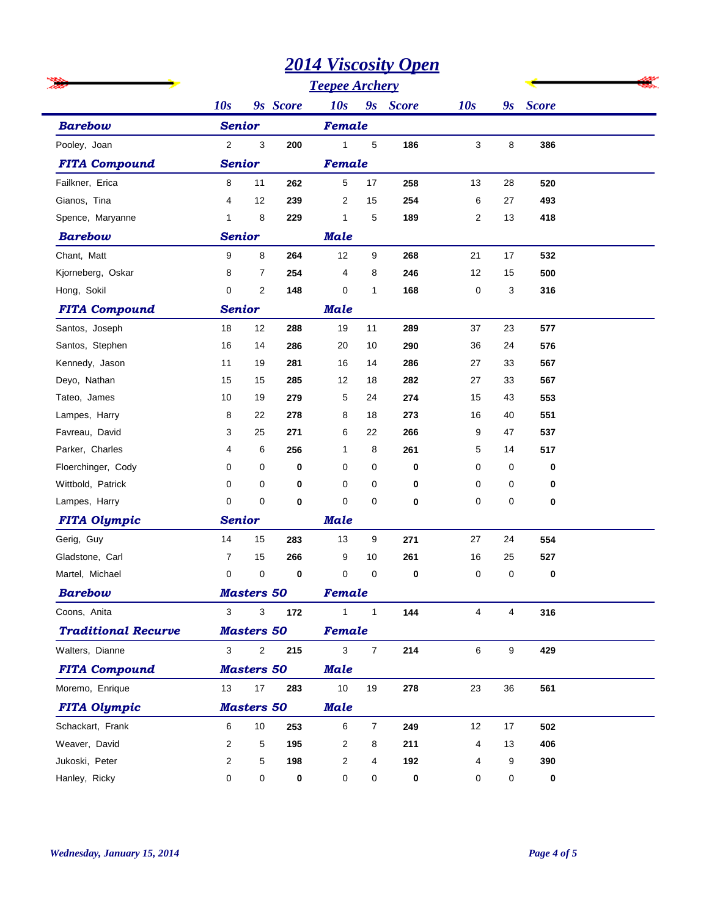|                            |                |                         |             | $\sqrt{2}$     |                | $\mathbf{v}$ <i>p</i> $\mathbf{v}$ |                         |                  |          |  |
|----------------------------|----------------|-------------------------|-------------|----------------|----------------|------------------------------------|-------------------------|------------------|----------|--|
|                            |                |                         |             |                |                |                                    |                         |                  |          |  |
|                            | 10s            |                         | 9s Score    | 10s            |                | 9s Score                           | 10s                     |                  | 9s Score |  |
| <b>Barebow</b>             | <b>Senior</b>  |                         |             | Female         |                |                                    |                         |                  |          |  |
| Pooley, Joan               | $\overline{2}$ | 3                       | 200         | $\mathbf{1}$   | 5              | 186                                | 3                       | 8                | 386      |  |
| <b>FITA Compound</b>       | <b>Senior</b>  |                         |             | Female         |                |                                    |                         |                  |          |  |
| Failkner, Erica            | 8              | 11                      | 262         | 5              | 17             | 258                                | 13                      | 28               | 520      |  |
| Gianos, Tina               | 4              | 12                      | 239         | $\overline{c}$ | 15             | 254                                | 6                       | 27               | 493      |  |
| Spence, Maryanne           | 1              | 8                       | 229         | 1              | 5              | 189                                | $\overline{\mathbf{c}}$ | 13               | 418      |  |
| <b>Barebow</b>             | <b>Senior</b>  |                         |             | <b>Male</b>    |                |                                    |                         |                  |          |  |
| Chant, Matt                | 9              | 8                       | 264         | 12             | 9              | 268                                | 21                      | 17               | 532      |  |
| Kjorneberg, Oskar          | 8              | $\overline{7}$          | 254         | 4              | 8              | 246                                | 12                      | 15               | 500      |  |
| Hong, Sokil                | $\mathbf 0$    | $\overline{\mathbf{c}}$ | 148         | $\pmb{0}$      | $\mathbf{1}$   | 168                                | 0                       | 3                | 316      |  |
| <b>FITA Compound</b>       | <b>Senior</b>  |                         |             | <b>Male</b>    |                |                                    |                         |                  |          |  |
| Santos, Joseph             | 18             | 12                      | 288         | 19             | 11             | 289                                | 37                      | 23               | 577      |  |
| Santos, Stephen            | 16             | 14                      | 286         | 20             | 10             | 290                                | 36                      | 24               | 576      |  |
| Kennedy, Jason             | 11             | 19                      | 281         | 16             | 14             | 286                                | 27                      | 33               | 567      |  |
| Deyo, Nathan               | 15             | 15                      | 285         | 12             | 18             | 282                                | 27                      | 33               | 567      |  |
| Tateo, James               | 10             | 19                      | 279         | 5              | 24             | 274                                | 15                      | 43               | 553      |  |
| Lampes, Harry              | 8              | 22                      | 278         | 8              | 18             | 273                                | 16                      | 40               | 551      |  |
| Favreau, David             | 3              | 25                      | 271         | 6              | 22             | 266                                | 9                       | 47               | 537      |  |
| Parker, Charles            | 4              | 6                       | 256         | 1              | 8              | 261                                | 5                       | 14               | 517      |  |
| Floerchinger, Cody         | $\mathbf 0$    | 0                       | $\mathbf 0$ | 0              | 0              | 0                                  | 0                       | 0                | 0        |  |
| Wittbold, Patrick          | $\mathbf 0$    | 0                       | $\mathbf 0$ | 0              | 0              | 0                                  | 0                       | 0                | $\bf{0}$ |  |
| Lampes, Harry              | 0              | $\mathbf 0$             | $\mathbf 0$ | $\mathbf 0$    | 0              | $\bf{0}$                           | 0                       | 0                | $\bf{0}$ |  |
| <b>FITA Olympic</b>        | <b>Senior</b>  |                         |             | <b>Male</b>    |                |                                    |                         |                  |          |  |
| Gerig, Guy                 | 14             | 15                      | 283         | 13             | 9              | 271                                | 27                      | 24               | 554      |  |
| Gladstone, Carl            | $\overline{7}$ | 15                      | 266         | 9              | 10             | 261                                | 16                      | 25               | 527      |  |
| Martel, Michael            | $\mathbf 0$    | $\mathbf 0$             | 0           | $\mathbf 0$    | $\mathbf 0$    | 0                                  | 0                       | 0                | $\bf{0}$ |  |
| <b>Barebow</b>             |                | <b>Masters 50</b>       |             | <b>Female</b>  |                |                                    |                         |                  |          |  |
| Coons, Anita               | 3              | 3                       | 172         | $\mathbf{1}$   | $\mathbf{1}$   | 144                                | $\overline{4}$          | 4                | 316      |  |
| <b>Traditional Recurve</b> |                | <b>Masters 50</b>       |             | Female         |                |                                    |                         |                  |          |  |
| Walters, Dianne            | 3              | $\sqrt{2}$              | 215         | $\mathbf{3}$   | $\overline{7}$ | 214                                | 6                       | $\boldsymbol{9}$ | 429      |  |
| <b>FITA Compound</b>       |                | <b>Masters 50</b>       |             | <b>Male</b>    |                |                                    |                         |                  |          |  |
| Moremo, Enrique            | 13             | 17                      | 283         | 10             | 19             | 278                                | 23                      | 36               | 561      |  |
| <b>FITA Olympic</b>        |                | <b>Masters 50</b>       |             | <b>Male</b>    |                |                                    |                         |                  |          |  |
| Schackart, Frank           | 6              | 10                      | 253         | 6              | $\overline{7}$ | 249                                | 12                      | 17               | 502      |  |
| Weaver, David              | $\overline{2}$ | 5                       | 195         | 2              | 8              | 211                                | 4                       | 13               | 406      |  |
| Jukoski, Peter             | $\overline{2}$ | 5                       | 198         | 2              | 4              | 192                                | 4                       | 9                | 390      |  |
| Hanley, Ricky              | 0              | 0                       | 0           | 0              | 0              | 0                                  | 0                       | 0                | 0        |  |